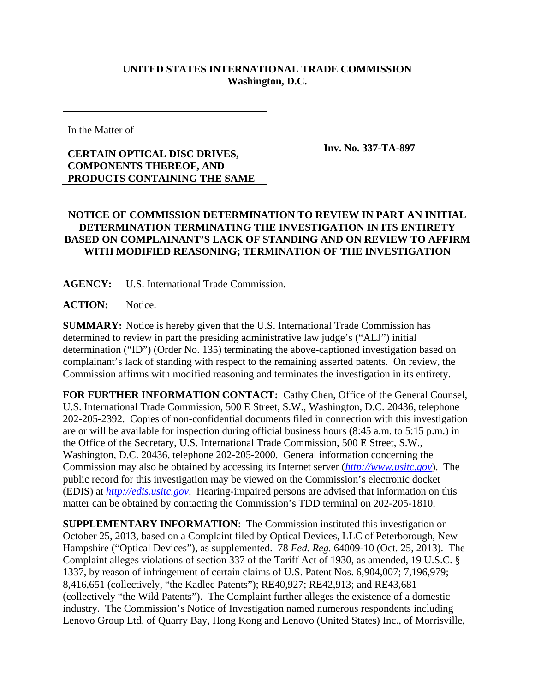## **UNITED STATES INTERNATIONAL TRADE COMMISSION Washington, D.C.**

In the Matter of

## **CERTAIN OPTICAL DISC DRIVES, COMPONENTS THEREOF, AND PRODUCTS CONTAINING THE SAME**

**Inv. No. 337-TA-897**

## **NOTICE OF COMMISSION DETERMINATION TO REVIEW IN PART AN INITIAL DETERMINATION TERMINATING THE INVESTIGATION IN ITS ENTIRETY BASED ON COMPLAINANT'S LACK OF STANDING AND ON REVIEW TO AFFIRM WITH MODIFIED REASONING; TERMINATION OF THE INVESTIGATION**

**AGENCY:** U.S. International Trade Commission.

**ACTION:** Notice.

**SUMMARY:** Notice is hereby given that the U.S. International Trade Commission has determined to review in part the presiding administrative law judge's ("ALJ") initial determination ("ID") (Order No. 135) terminating the above-captioned investigation based on complainant's lack of standing with respect to the remaining asserted patents. On review, the Commission affirms with modified reasoning and terminates the investigation in its entirety.

**FOR FURTHER INFORMATION CONTACT:** Cathy Chen, Office of the General Counsel, U.S. International Trade Commission, 500 E Street, S.W., Washington, D.C. 20436, telephone 202-205-2392. Copies of non-confidential documents filed in connection with this investigation are or will be available for inspection during official business hours (8:45 a.m. to 5:15 p.m.) in the Office of the Secretary, U.S. International Trade Commission, 500 E Street, S.W., Washington, D.C. 20436, telephone 202-205-2000. General information concerning the Commission may also be obtained by accessing its Internet server (*http://www.usitc.gov*). The public record for this investigation may be viewed on the Commission's electronic docket (EDIS) at *http://edis.usitc.gov*. Hearing-impaired persons are advised that information on this matter can be obtained by contacting the Commission's TDD terminal on 202-205-1810.

**SUPPLEMENTARY INFORMATION**: The Commission instituted this investigation on October 25, 2013, based on a Complaint filed by Optical Devices, LLC of Peterborough, New Hampshire ("Optical Devices"), as supplemented. 78 *Fed. Reg.* 64009-10 (Oct. 25, 2013). The Complaint alleges violations of section 337 of the Tariff Act of 1930, as amended, 19 U.S.C. § 1337, by reason of infringement of certain claims of U.S. Patent Nos. 6,904,007; 7,196,979; 8,416,651 (collectively, "the Kadlec Patents"); RE40,927; RE42,913; and RE43,681 (collectively "the Wild Patents"). The Complaint further alleges the existence of a domestic industry. The Commission's Notice of Investigation named numerous respondents including Lenovo Group Ltd. of Quarry Bay, Hong Kong and Lenovo (United States) Inc., of Morrisville,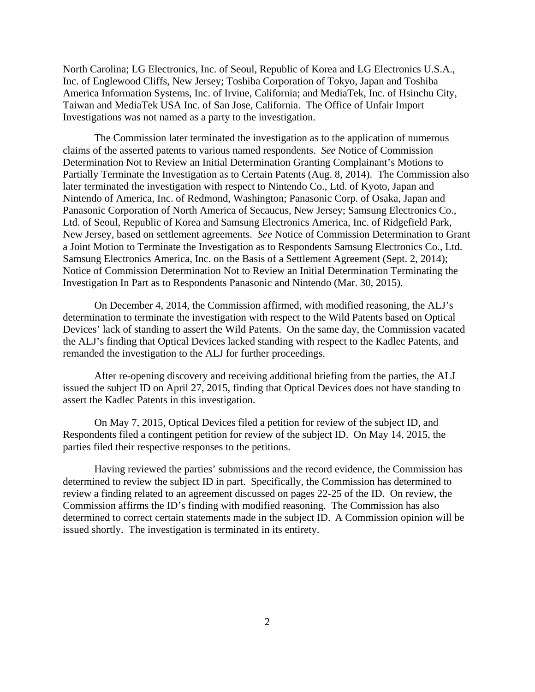North Carolina; LG Electronics, Inc. of Seoul, Republic of Korea and LG Electronics U.S.A., Inc. of Englewood Cliffs, New Jersey; Toshiba Corporation of Tokyo, Japan and Toshiba America Information Systems, Inc. of Irvine, California; and MediaTek, Inc. of Hsinchu City, Taiwan and MediaTek USA Inc. of San Jose, California. The Office of Unfair Import Investigations was not named as a party to the investigation.

The Commission later terminated the investigation as to the application of numerous claims of the asserted patents to various named respondents. *See* Notice of Commission Determination Not to Review an Initial Determination Granting Complainant's Motions to Partially Terminate the Investigation as to Certain Patents (Aug. 8, 2014). The Commission also later terminated the investigation with respect to Nintendo Co., Ltd. of Kyoto, Japan and Nintendo of America, Inc. of Redmond, Washington; Panasonic Corp. of Osaka, Japan and Panasonic Corporation of North America of Secaucus, New Jersey; Samsung Electronics Co., Ltd. of Seoul, Republic of Korea and Samsung Electronics America, Inc. of Ridgefield Park, New Jersey, based on settlement agreements. *See* Notice of Commission Determination to Grant a Joint Motion to Terminate the Investigation as to Respondents Samsung Electronics Co., Ltd. Samsung Electronics America, Inc. on the Basis of a Settlement Agreement (Sept. 2, 2014); Notice of Commission Determination Not to Review an Initial Determination Terminating the Investigation In Part as to Respondents Panasonic and Nintendo (Mar. 30, 2015).

On December 4, 2014, the Commission affirmed, with modified reasoning, the ALJ's determination to terminate the investigation with respect to the Wild Patents based on Optical Devices' lack of standing to assert the Wild Patents. On the same day, the Commission vacated the ALJ's finding that Optical Devices lacked standing with respect to the Kadlec Patents, and remanded the investigation to the ALJ for further proceedings.

After re-opening discovery and receiving additional briefing from the parties, the ALJ issued the subject ID on April 27, 2015, finding that Optical Devices does not have standing to assert the Kadlec Patents in this investigation.

On May 7, 2015, Optical Devices filed a petition for review of the subject ID, and Respondents filed a contingent petition for review of the subject ID. On May 14, 2015, the parties filed their respective responses to the petitions.

Having reviewed the parties' submissions and the record evidence, the Commission has determined to review the subject ID in part. Specifically, the Commission has determined to review a finding related to an agreement discussed on pages 22-25 of the ID. On review, the Commission affirms the ID's finding with modified reasoning. The Commission has also determined to correct certain statements made in the subject ID. A Commission opinion will be issued shortly. The investigation is terminated in its entirety.